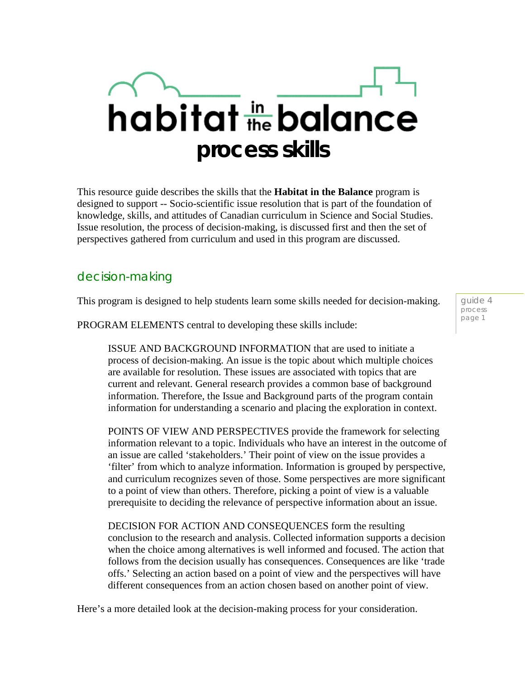## habitat the balance **process skills**

This resource guide describes the skills that the **Habitat in the Balance** program is designed to support -- Socio-scientific issue resolution that is part of the foundation of knowledge, skills, and attitudes of Canadian curriculum in Science and Social Studies. Issue resolution, the process of decision-making, is discussed first and then the set of perspectives gathered from curriculum and used in this program are discussed.

## decision-making

This program is designed to help students learn some skills needed for decision-making.

PROGRAM ELEMENTS central to developing these skills include:

ISSUE AND BACKGROUND INFORMATION that are used to initiate a process of decision-making. An issue is the topic about which multiple choices are available for resolution. These issues are associated with topics that are current and relevant. General research provides a common base of background information. Therefore, the Issue and Background parts of the program contain information for understanding a scenario and placing the exploration in context.

POINTS OF VIEW AND PERSPECTIVES provide the framework for selecting information relevant to a topic. Individuals who have an interest in the outcome of an issue are called 'stakeholders.' Their point of view on the issue provides a 'filter' from which to analyze information. Information is grouped by perspective, and curriculum recognizes seven of those. Some perspectives are more significant to a point of view than others. Therefore, picking a point of view is a valuable prerequisite to deciding the relevance of perspective information about an issue.

DECISION FOR ACTION AND CONSEQUENCES form the resulting conclusion to the research and analysis. Collected information supports a decision when the choice among alternatives is well informed and focused. The action that follows from the decision usually has consequences. Consequences are like 'trade offs.' Selecting an action based on a point of view and the perspectives will have different consequences from an action chosen based on another point of view.

Here's a more detailed look at the decision-making process for your consideration.

guide 4 process page 1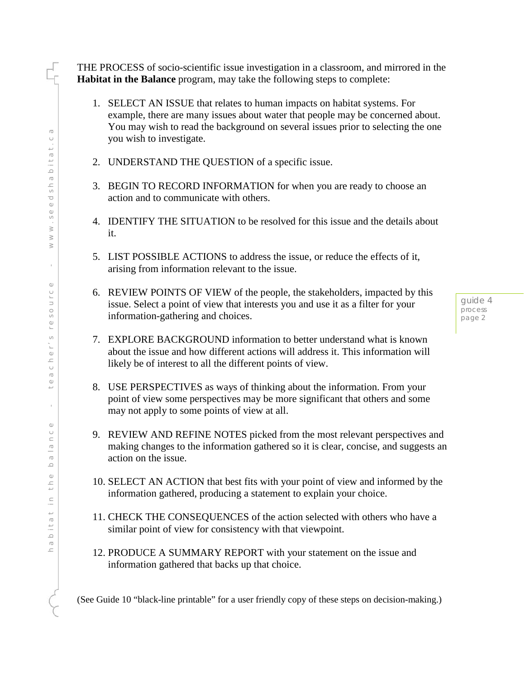THE PROCESS of socio-scientific issue investigation in a classroom, and mirrored in the **Habitat in the Balance** program, may take the following steps to complete:

- 1. SELECT AN ISSUE that relates to human impacts on habitat systems. For example, there are many issues about water that people may be concerned about. You may wish to read the background on several issues prior to selecting the one you wish to investigate.
- 2. UNDERSTAND THE QUESTION of a specific issue.
- 3. BEGIN TO RECORD INFORMATION for when you are ready to choose an action and to communicate with others.
- 4. IDENTIFY THE SITUATION to be resolved for this issue and the details about it.
- 5. LIST POSSIBLE ACTIONS to address the issue, or reduce the effects of it, arising from information relevant to the issue.
- 6. REVIEW POINTS OF VIEW of the people, the stakeholders, impacted by this issue. Select a point of view that interests you and use it as a filter for your information-gathering and choices.
- 7. EXPLORE BACKGROUND information to better understand what is known about the issue and how different actions will address it. This information will likely be of interest to all the different points of view.
- 8. USE PERSPECTIVES as ways of thinking about the information. From your point of view some perspectives may be more significant that others and some may not apply to some points of view at all.
- 9. REVIEW AND REFINE NOTES picked from the most relevant perspectives and making changes to the information gathered so it is clear, concise, and suggests an action on the issue.
- 10. SELECT AN ACTION that best fits with your point of view and informed by the information gathered, producing a statement to explain your choice.
- 11. CHECK THE CONSEQUENCES of the action selected with others who have a similar point of view for consistency with that viewpoint.
- 12. PRODUCE A SUMMARY REPORT with your statement on the issue and information gathered that backs up that choice.

(See Guide 10 "black-line printable" for a user friendly copy of these steps on decision-making.)

guide 4 process page 2

I<br>T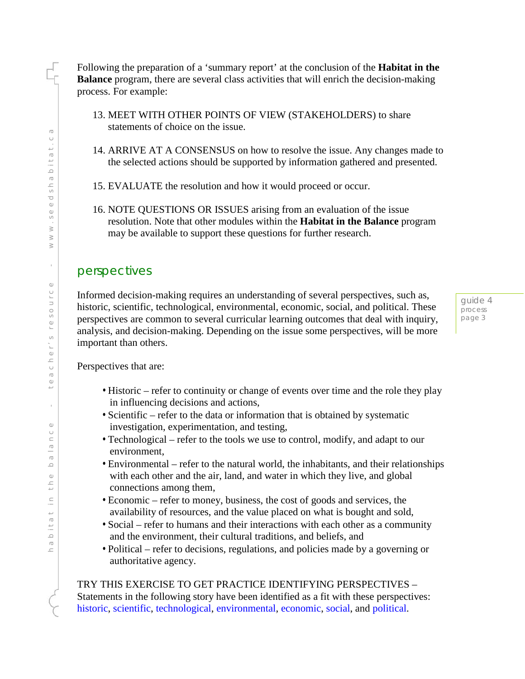Following the preparation of a 'summary report' at the conclusion of the **Habitat in the Balance** program, there are several class activities that will enrich the decision-making process. For example:

- 13. MEET WITH OTHER POINTS OF VIEW (STAKEHOLDERS) to share statements of choice on the issue.
- 14. ARRIVE AT A CONSENSUS on how to resolve the issue. Any changes made to the selected actions should be supported by information gathered and presented.
- 15. EVALUATE the resolution and how it would proceed or occur.
- 16. NOTE QUESTIONS OR ISSUES arising from an evaluation of the issue resolution. Note that other modules within the **Habitat in the Balance** program may be available to support these questions for further research.

## perspectives

Informed decision-making requires an understanding of several perspectives, such as, historic, scientific, technological, environmental, economic, social, and political. These perspectives are common to several curricular learning outcomes that deal with inquiry, analysis, and decision-making. Depending on the issue some perspectives, will be more important than others.

guide 4 process page 3

Perspectives that are:

- Historic refer to continuity or change of events over time and the role they play in influencing decisions and actions,
- Scientific refer to the data or information that is obtained by systematic investigation, experimentation, and testing,
- Technological refer to the tools we use to control, modify, and adapt to our environment,
- Environmental refer to the natural world, the inhabitants, and their relationships with each other and the air, land, and water in which they live, and global connections among them,
- Economic refer to money, business, the cost of goods and services, the availability of resources, and the value placed on what is bought and sold,
- Social refer to humans and their interactions with each other as a community and the environment, their cultural traditions, and beliefs, and
- Political refer to decisions, regulations, and policies made by a governing or authoritative agency.

TRY THIS EXERCISE TO GET PRACTICE IDENTIFYING PERSPECTIVES – Statements in the following story have been identified as a fit with these perspectives: historic, scientific, technological, environmental, economic, social, and political.